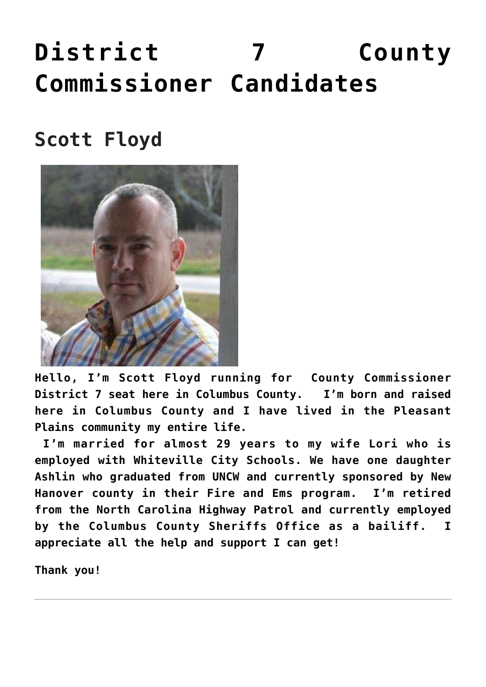## **[District 7 County](https://columbuscountyconservative.com/index.php/district-7-county-commissioner-candidates/) [Commissioner Candidates](https://columbuscountyconservative.com/index.php/district-7-county-commissioner-candidates/)**

## **Scott Floyd**



**Hello, I'm Scott Floyd running for County Commissioner District 7 seat here in Columbus County. I'm born and raised here in Columbus County and I have lived in the Pleasant Plains community my entire life.** 

 **I'm married for almost 29 years to my wife Lori who is employed with Whiteville City Schools. We have one daughter Ashlin who graduated from UNCW and currently sponsored by New Hanover county in their Fire and Ems program. I'm retired from the North Carolina Highway Patrol and currently employed by the Columbus County Sheriffs Office as a bailiff. I appreciate all the help and support I can get!**

**Thank you!**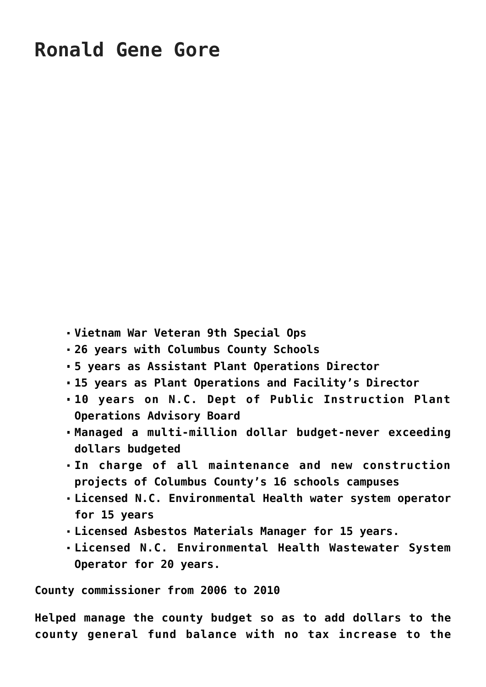- **Vietnam War Veteran 9th Special Ops**
- **26 years with Columbus County Schools**
- **5 years as Assistant Plant Operations Director**
- **15 years as Plant Operations and Facility's Director**
- **10 years on N.C. Dept of Public Instruction Plant Operations Advisory Board**
- **Managed a multi-million dollar budget-never exceeding dollars budgeted**
- **In charge of all maintenance and new construction projects of Columbus County's 16 schools campuses**
- **Licensed N.C. Environmental Health water system operator for 15 years**
- **Licensed Asbestos Materials Manager for 15 years.**
- **Licensed N.C. Environmental Health Wastewater System Operator for 20 years.**

**County commissioner from 2006 to 2010**

**Helped manage the county budget so as to add dollars to the county general fund balance with no tax increase to the**